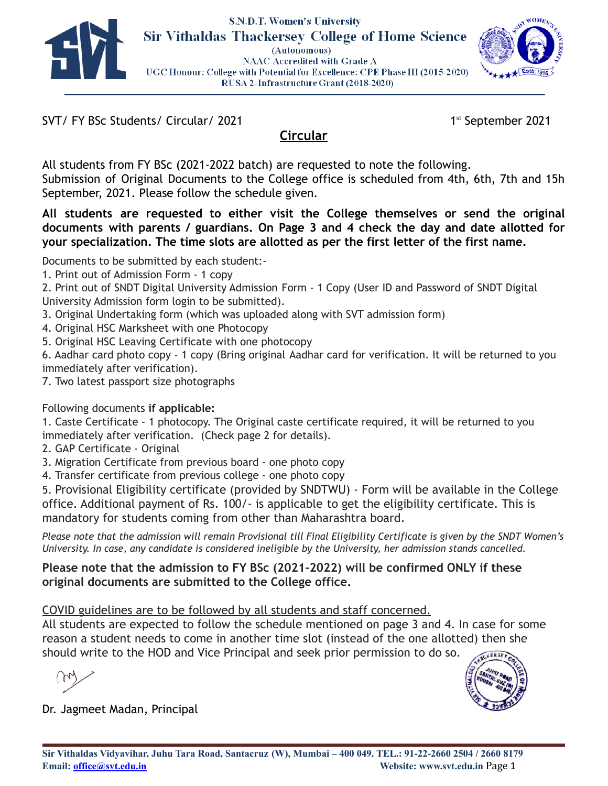

#### **S.N.D.T. Women's University Sir Vithaldas Thackersey College of Home Science** (Autonomous) NAAC Accredited with Grade A UGC Honour: College with Potential for Excellence: CPE Phase III (2015-2020) RUSA 2-Infrastructure Grant (2018-2020)



SVT/ FY BSc Students/ Circular/ 2021

1st September 2021

# **Circular**

All students from FY BSc (2021-2022 batch) are requested to note the following. Submission of Original Documents to the College office is scheduled from 4th, 6th, 7th and 15h September, 2021. Please follow the schedule given.

**All students are requested to either visit the College themselves or send the original documents with parents / guardians. On Page 3 and 4 check the day and date allotted for your specialization. The time slots are allotted as per the first letter of the first name.**

Documents to be submitted by each student:-

1. Print out of Admission Form - 1 copy

2. Print out of SNDT Digital University Admission Form - 1 Copy (User ID and Password of SNDT Digital University Admission form login to be submitted).

- 3. Original Undertaking form (which was uploaded along with SVT admission form)
- 4. Original HSC Marksheet with one Photocopy

5. Original HSC Leaving Certificate with one photocopy

6. Aadhar card photo copy - 1 copy (Bring original Aadhar card for verification. It will be returned to you immediately after verification).

7. Two latest passport size photographs

## Following documents **if applicable:**

1. Caste Certificate - 1 photocopy. The Original caste certificate required, it will be returned to you immediately after verification. (Check page 2 for details).

2. GAP Certificate - Original

3. Migration Certificate from previous board - one photo copy

4. Transfer certificate from previous college - one photo copy

5. Provisional Eligibility certificate (provided by SNDTWU) - Form will be available in the College office. Additional payment of Rs. 100/- is applicable to get the eligibility certificate. This is mandatory for students coming from other than Maharashtra board.

Please note that the admission will remain Provisional till Final Eligibility Certificate is given by the SNDT Women's *University. In case, any candidate is considered ineligible by the University, her admission stands cancelled.*

#### **Please note that the admission to FY BSc (2021-2022) will be confirmed ONLY if these original documents are submitted to the College office.**

## COVID guidelines are to be followed by all students and staff concerned.

All students are expected to follow the schedule mentioned on page 3 and 4. In case for some reason a student needs to come in another time slot (instead of the one allotted) then she should write to the HOD and Vice Principal and seek prior permission to do so.

Dr. Jagmeet Madan, Principal

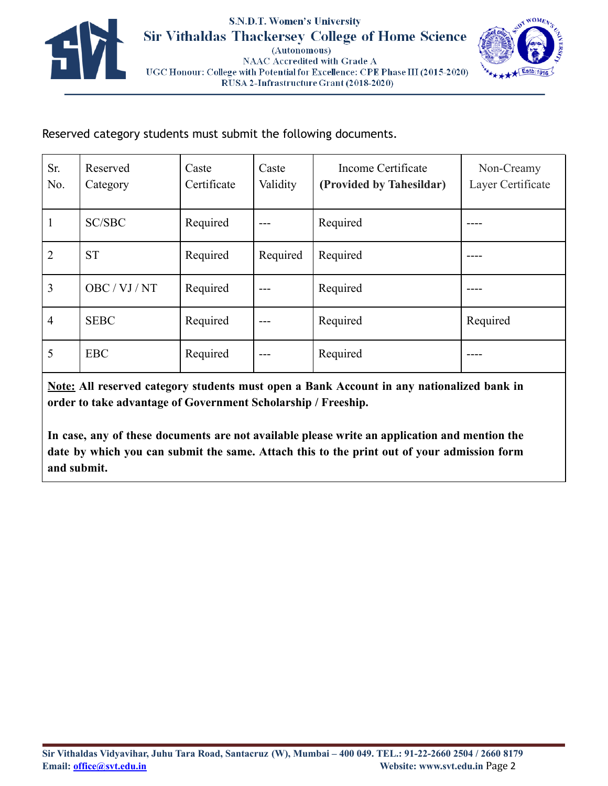



Reserved category students must submit the following documents.

| Sr.<br>No.     | Reserved<br>Category | Caste<br>Certificate | Caste<br>Validity | Income Certificate<br>(Provided by Tahesildar) | Non-Creamy<br>Layer Certificate |
|----------------|----------------------|----------------------|-------------------|------------------------------------------------|---------------------------------|
| $\mathbf{1}$   | <b>SC/SBC</b>        | Required             |                   | Required                                       |                                 |
| $\overline{2}$ | <b>ST</b>            | Required             | Required          | Required                                       |                                 |
| $\overline{3}$ | OBC / VJ / NT        | Required             |                   | Required                                       |                                 |
| $\overline{4}$ | <b>SEBC</b>          | Required             |                   | Required                                       | Required                        |
| 5              | <b>EBC</b>           | Required             |                   | Required                                       |                                 |

**Note: All reserved category students must open a Bank Account in any nationalized bank in order to take advantage of Government Scholarship / Freeship.**

**In case, any of these documents are not available please write an application and mention the date by which you can submit the same. Attach this to the print out of your admission form and submit.**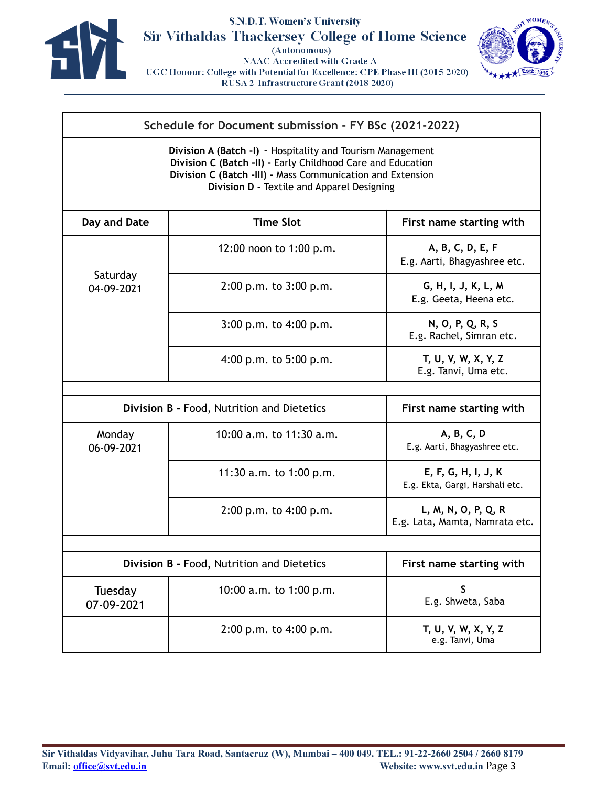

## S.N.D.T. Women's University **Sir Vithaldas Thackersey College of Home Science**

(Autonomous)

NAAC Accredited with Grade A UGC Honour: College with Potential for Excellence: CPE Phase III (2015-2020) RUSA 2-Infrastructure Grant (2018-2020)



#### **Schedule for Document submission - FY BSc (2021-2022)**

**Division A (Batch -I)** - Hospitality and Tourism Management **Division C (Batch -II) -** Early Childhood Care and Education **Division C (Batch -III) -** Mass Communication and Extension **Division D -** Textile and Apparel Designing

| Day and Date                               | <b>Time Slot</b>                           | First name starting with                               |
|--------------------------------------------|--------------------------------------------|--------------------------------------------------------|
|                                            | 12:00 noon to 1:00 p.m.                    | A, B, C, D, E, F<br>E.g. Aarti, Bhagyashree etc.       |
| Saturday<br>04-09-2021                     | 2:00 p.m. to 3:00 p.m.                     | G, H, I, J, K, L, M<br>E.g. Geeta, Heena etc.          |
|                                            | $3:00$ p.m. to $4:00$ p.m.                 | N, O, P, Q, R, S<br>E.g. Rachel, Simran etc.           |
|                                            | 4:00 p.m. to $5:00$ p.m.                   | T, U, V, W, X, Y, Z<br>E.g. Tanvi, Uma etc.            |
|                                            |                                            |                                                        |
|                                            | Division B - Food, Nutrition and Dietetics | First name starting with                               |
| Monday<br>06-09-2021                       | 10:00 a.m. to 11:30 a.m.                   | A, B, C, D<br>E.g. Aarti, Bhagyashree etc.             |
|                                            | 11:30 a.m. to $1:00$ p.m.                  | E, F, G, H, I, J, K<br>E.g. Ekta, Gargi, Harshali etc. |
|                                            | $2:00$ p.m. to $4:00$ p.m.                 | L, M, N, O, P, Q, R<br>E.g. Lata, Mamta, Namrata etc.  |
|                                            |                                            |                                                        |
| Division B - Food, Nutrition and Dietetics | First name starting with                   |                                                        |
| Tuesday<br>07-09-2021                      | 10:00 a.m. to 1:00 p.m.                    | $\mathsf{S}$<br>E.g. Shweta, Saba                      |
|                                            | $2:00$ p.m. to $4:00$ p.m.                 | T, U, V, W, X, Y, Z<br>e.g. Tanvi, Uma                 |